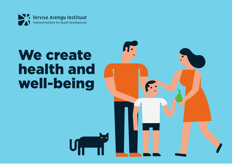

# We create health and well-being

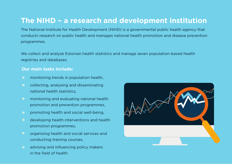### **The NIHD – a research and development institution**

The National Institute for Health Development (NIHD) is a governmental public health agency that conducts research on public health and manages national health promotion and disease prevention programmes.

We collect and analyse Estonian health statistics and manage seven population-based health registries and databases.

#### **Our main tasks include:**

- monitoring trends in population health,  $\bullet$
- collecting, analysing and disseminating national health statistics,
- monitoring and evaluating national health promotion and prevention programmes,
- promoting health and social well-being,
- developing health interventions and health promotion programmes,
- organising health and social services and conducting training courses,
- advising and influencing policy makers in the field of health.

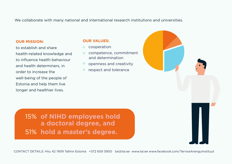We collaborate with many national and international research institutions and universities.

#### **OUR MISSION:**

to establish and share health-related knowledge and to influence health behaviour and health determiners, in order to increase the well-being of the people of Estonia and help them live longer and healthier lives.

#### **OUR VALUES:**

- cooperation
- competence, commitment and determination
- **O** openness and creativity
- respect and tolerance

15% **of NIHD employees hold a doctoral degree, and**  51% **hold a master's degree.**

CONTACT DETAILS: Hiiu 42 11619 Tallinn Estonia +372 659 3900 tai@tai.ee www.tai.ee www.facebook.com/TerviseArenguInstituut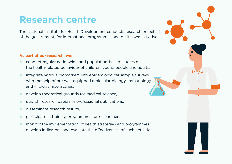### **Research centre**

The National Institute for Health Development conducts research on behalf of the government, for international programmes and on its own initiative.

#### **As part of our research, we:**

- conduct regular nationwide and population-based studies on  $\bullet$ the health-related behaviour of children, young people and adults,
- integrate various biomarkers into epidemiological sample surveys  $\bullet$ with the help of our well-equipped molecular biology, immunology and virology laboratories,
- develop theoretical grounds for medical science,  $\bigcirc$
- publish research papers in professional publications,  $\sqrt{2}$
- disseminate research results,
- participate in training programmes for researchers,
- monitor the implementation of health strategies and programmes,  $\bullet$ develop indicators, and evaluate the effectiveness of such activities.

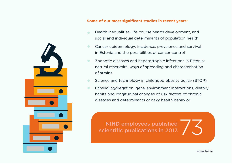

#### **Some of our most significant studies in recent years:**

- Health inequalities, life-course health development, and  $\bullet$ social and individual determinants of population health
- Cancer epidemiology: incidence, prevalence and survival  $\bullet$ in Estonia and the possibilities of cancer control
- $\bullet$ Zoonotic diseases and hepatotrophic infections in Estonia: natural reservoirs, ways of spreading and characterisation of strains
- Science and technology in childhood obesity policy (STOP)  $\bullet$
- Familial aggregation, gene-environment interactions, dietary  $\bullet$ habits and longitudinal changes of risk factors of chronic diseases and determinants of risky health behavior

NIHD employees published scientific publications in 2017.

www.tai.ee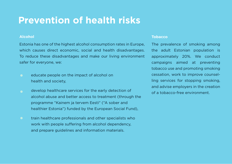### **Prevention of health risks**

#### **Alcohol**

Estonia has one of the highest alcohol consumption rates in Europe, which causes direct economic, social and health disadvantages. To reduce these disadvantages and make our living environment safer for everyone, we:

- educate people on the impact of alcohol on health and society,
- develop healthcare services for the early detection of alcohol abuse and better access to treatment (through the programme "Kainem ja tervem Eesti" ("A sober and healthier Estonia") funded by the European Social Fund),
- train healthcare professionals and other specialists who work with people suffering from alcohol dependency, and prepare guidelines and information materials.

#### **Tobacco**

The prevalence of smoking among the adult Estonian population is approximately 20%. We conduct campaigns aimed at preventing tobacco use and promoting smoking cessation, work to improve counselling services for stopping smoking, and advise employers in the creation of a tobacco-free environment.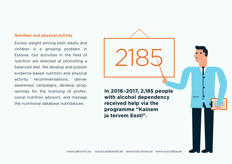#### **Nutrition and physical activity**

Excess weight among both adults and children is a growing problem in Estonia. Our activities in the field of nutrition are directed at promoting a balanced diet. We develop and publish evidence-based nutrition and physical activity recommendations, deliver awareness campaigns, develop programmes for the licensing of professional nutrition advisors, and manage the nutritional database nutridata.ee.

**In 2016–2017, 2,185 people with alcohol dependency received help via the programme "Kainem ja tervem Eesti".**

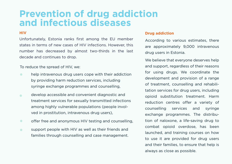### **Prevention of drug addiction and infectious diseases**

#### **HIV**

Unfortunately, Estonia ranks first among the EU member states in terms of new cases of HIV infections. However, this number has decreased by almost two-thirds in the last decade and continues to drop.

To reduce the spread of HIV, we:

- $\bullet$ help intravenous drug users cope with their addiction by providing harm reduction services, including syringe exchange programmes and counselling,
- develop accessible and convenient diagnostic and  $\bullet$ treatment services for sexually transmitted infections among highly vulnerable populations (people involved in prostitution, intravenous drug users),
- $\bullet$ offer free and anonymous HIV testing and counselling,
- support people with HIV as well as their friends and  $\bullet$ families through counselling and case management.

#### **Drug addiction**

According to various estimates, there are approximately 9,000 intravenous drug users in Estonia.

We believe that everyone deserves help and support, regardless of their reasons for using drugs. We coordinate the development and provision of a range of treatment, counselling and rehabilitation services for drug users, including opioid substitution treatment. Harm reduction centres offer a variety of counselling services and syringe exchange programmes. The distribution of naloxone, a life-saving drug to combat opioid overdose, has been launched, and training courses on how to use it are provided for drug users and their families, to ensure that help is always as close as possible.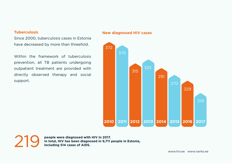#### **Tuberculosis**

Since 2000, tuberculosis cases in Estonia have decreased by more than threefold.

Within the framework of tuberculosis prevention, all TB patients undergoing outpatient treatment are provided with directly observed therapy and social support.

#### **New diagnosed HIV cases**



219

**people were diagnosed with HIV in 2017. In total, HIV has been diagnosed in 9,711 people in Estonia, including 514 cases of AIDS.**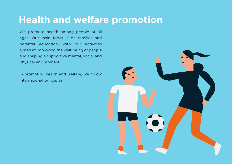## **Health and welfare promotion**

We promote health among people of all ages. Our main focus is on families and parental education, with our activities aimed at improving the well-being of people and shaping a supportive mental, social and physical environment.

In promoting health and welfare, we follow international principles.

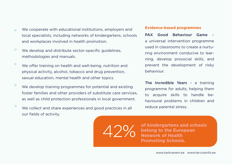- We cooperate with educational institutions, employers and local specialists, including networks of kindergartens, schools and workplaces involved in health promotion.
- We develop and distribute sector-specific guidelines, methodologies and manuals.
- We offer training on health and well-being, nutrition and physical activity, alcohol, tobacco and drug prevention, sexual education, mental health and other topics.
- We develop training programmes for potential and existing foster families and other providers of substitute care services, as well as child protection professionals in local government.
- We collect and share experiences and good practices in all our fields of activity.

#### **Evidence-based programmes**

PAX Good Behaviour Game – a universal intervention programme used in classrooms to create a nurturing environment conducive to learning, develop prosocial skills, and prevent the development of risky behaviour.

The Incredible Years – a training programme for adults, helping them to acquire skills to handle behavioural problems in children and reduce parental stress.

42% **of kindergartens and schools belong to the European Network of Health Promoting Schools.**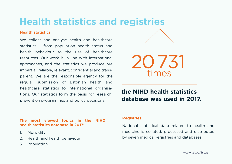# **Health statistics and registries**

#### **Health statistics**

We collect and analyse health and healthcare statistics – from population health status and health behaviour to the use of healthcare resources. Our work is in line with international approaches, and the statistics we produce are impartial, reliable, relevant, confidential and transparent. We are the responsible agency for the regular submission of Estonian health and healthcare statistics to international organisations. Our statistics form the basis for research, prevention programmes and policy decisions.

#### **The most viewed topics in the NIHD health statistics database in 2017:**

- 1. Morbidity
- 2. Health and health behaviour
- 3. Population



### **the NIHD health statistics database was used in 2017.**

#### **Registries**

National statistical data related to health and medicine is collated, processed and distributed by seven medical registries and databases: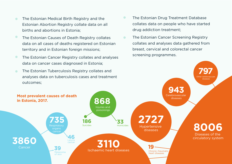- The Estonian Medical Birth Registry and the  $\bullet$ Estonian Abortion Registry collate data on all births and abortions in Estonia;
- $\bullet$ The Estonian Causes of Death Registry collates data on all cases of deaths registered on Estonian territory and in Estonian foreign missions;
- The Estonian Cancer Registry collates and analyses  $\bullet$ data on cancer cases diagnosed in Estonia;
- $\bullet$ The Estonian Drug Treatment Database collates data on people who have started drug addiction treatment;
- The Estonian Cancer Screening Registry  $\bullet$ collates and analyses data gathered from breast, cervical and colorectal cancer screening programmes.

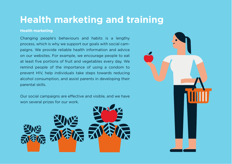## **Health marketing and training**

#### **Health marketing**

Changing people's behaviours and habits is a lengthy process, which is why we support our goals with social campaigns. We provide reliable health information and advice on our websites. For example, we encourage people to eat at least five portions of fruit and vegetables every day. We remind people of the importance of using a condom to prevent HIV, help individuals take steps towards reducing alcohol consumption, and assist parents in developing their parental skills.

Our social campaigns are effective and visible, and we have won several prizes for our work.